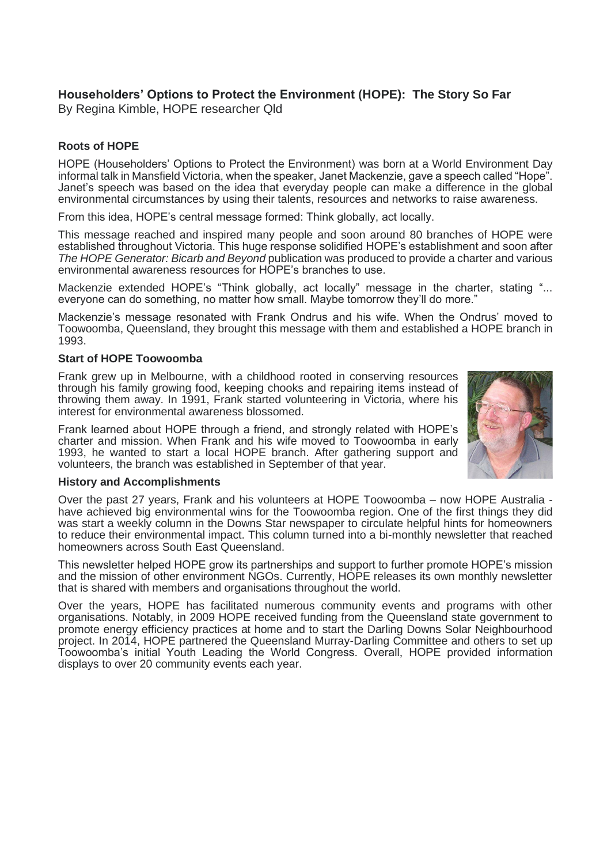# **Householders' Options to Protect the Environment (HOPE): The Story So Far**

By Regina Kimble, HOPE researcher Qld

# **Roots of HOPE**

HOPE (Householders' Options to Protect the Environment) was born at a World Environment Day informal talk in Mansfield Victoria, when the speaker, Janet Mackenzie, gave a speech called "Hope". Janet's speech was based on the idea that everyday people can make a difference in the global environmental circumstances by using their talents, resources and networks to raise awareness.

From this idea, HOPE's central message formed: Think globally, act locally.

This message reached and inspired many people and soon around 80 branches of HOPE were established throughout Victoria. This huge response solidified HOPE's establishment and soon after *The HOPE Generator: Bicarb and Beyond* publication was produced to provide a charter and various environmental awareness resources for HOPE's branches to use.

Mackenzie extended HOPE's "Think globally, act locally" message in the charter, stating "... everyone can do something, no matter how small. Maybe tomorrow they'll do more."

Mackenzie's message resonated with Frank Ondrus and his wife. When the Ondrus' moved to Toowoomba, Queensland, they brought this message with them and established a HOPE branch in 1993.

### **Start of HOPE Toowoomba**

Frank grew up in Melbourne, with a childhood rooted in conserving resources through his family growing food, keeping chooks and repairing items instead of throwing them away. In 1991, Frank started volunteering in Victoria, where his interest for environmental awareness blossomed.

Frank learned about HOPE through a friend, and strongly related with HOPE's charter and mission. When Frank and his wife moved to Toowoomba in early 1993, he wanted to start a local HOPE branch. After gathering support and volunteers, the branch was established in September of that year.



#### **History and Accomplishments**

Over the past 27 years, Frank and his volunteers at HOPE Toowoomba – now HOPE Australia have achieved big environmental wins for the Toowoomba region. One of the first things they did was start a weekly column in the Downs Star newspaper to circulate helpful hints for homeowners to reduce their environmental impact. This column turned into a bi-monthly newsletter that reached homeowners across South East Queensland.

This newsletter helped HOPE grow its partnerships and support to further promote HOPE's mission and the mission of other environment NGOs. Currently, HOPE releases its own monthly newsletter that is shared with members and organisations throughout the world.

Over the years, HOPE has facilitated numerous community events and programs with other organisations. Notably, in 2009 HOPE received funding from the Queensland state government to promote energy efficiency practices at home and to start the Darling Downs Solar Neighbourhood project. In 2014, HOPE partnered the Queensland Murray-Darling Committee and others to set up Toowoomba's initial Youth Leading the World Congress. Overall, HOPE provided information displays to over 20 community events each year.